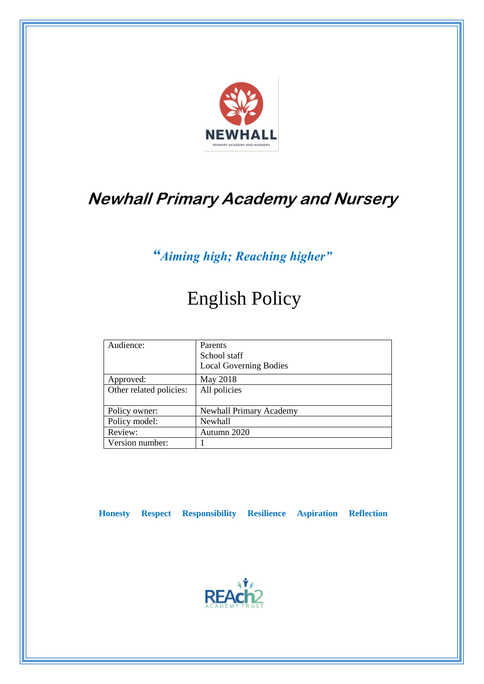

# **Newhall Primary Academy and Nursery**

# *"Aiming high; Reaching higher"*

# English Policy

| Audience:               | Parents<br>School staff<br><b>Local Governing Bodies</b> |
|-------------------------|----------------------------------------------------------|
| Approved:               | May 2018                                                 |
| Other related policies: | All policies                                             |
| Policy owner:           | <b>Newhall Primary Academy</b>                           |
| Policy model:           | <b>Newhall</b>                                           |
| Review:                 | Autumn 2020                                              |
| Version number:         |                                                          |

 **Honesty Respect Responsibility Resilience Aspiration Reflection**

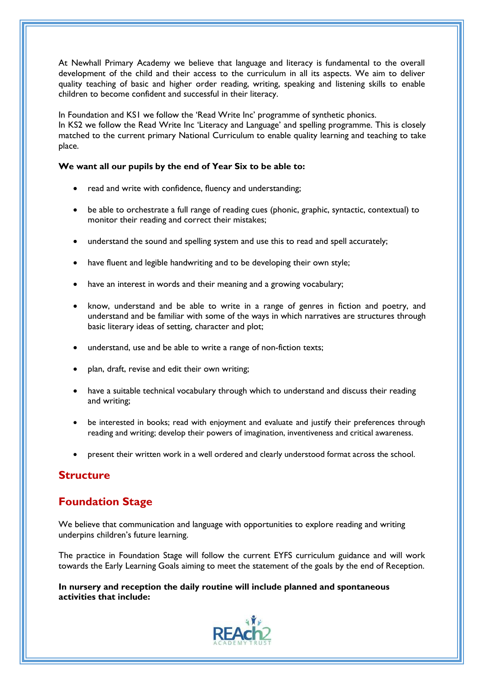At Newhall Primary Academy we believe that language and literacy is fundamental to the overall development of the child and their access to the curriculum in all its aspects. We aim to deliver quality teaching of basic and higher order reading, writing, speaking and listening skills to enable children to become confident and successful in their literacy.

In Foundation and KS1 we follow the 'Read Write Inc' programme of synthetic phonics. In KS2 we follow the Read Write Inc 'Literacy and Language' and spelling programme. This is closely matched to the current primary National Curriculum to enable quality learning and teaching to take place.

#### **We want all our pupils by the end of Year Six to be able to:**

- read and write with confidence, fluency and understanding;
- be able to orchestrate a full range of reading cues (phonic, graphic, syntactic, contextual) to monitor their reading and correct their mistakes;
- understand the sound and spelling system and use this to read and spell accurately;
- have fluent and legible handwriting and to be developing their own style;
- have an interest in words and their meaning and a growing vocabulary;
- know, understand and be able to write in a range of genres in fiction and poetry, and understand and be familiar with some of the ways in which narratives are structures through basic literary ideas of setting, character and plot;
- understand, use and be able to write a range of non-fiction texts;
- plan, draft, revise and edit their own writing;
- have a suitable technical vocabulary through which to understand and discuss their reading and writing;
- be interested in books; read with enjoyment and evaluate and justify their preferences through reading and writing; develop their powers of imagination, inventiveness and critical awareness.
- present their written work in a well ordered and clearly understood format across the school.

### **Structure**

# **Foundation Stage**

We believe that communication and language with opportunities to explore reading and writing underpins children's future learning.

The practice in Foundation Stage will follow the current EYFS curriculum guidance and will work towards the Early Learning Goals aiming to meet the statement of the goals by the end of Reception.

#### **In nursery and reception the daily routine will include planned and spontaneous activities that include:**

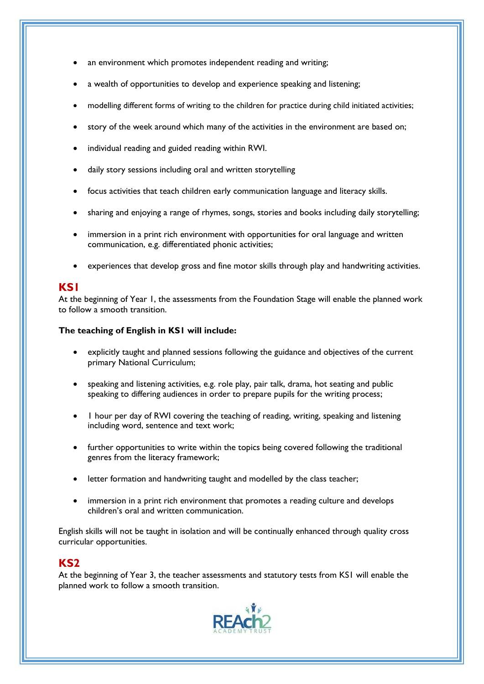- an environment which promotes independent reading and writing;
- a wealth of opportunities to develop and experience speaking and listening;
- modelling different forms of writing to the children for practice during child initiated activities;
- story of the week around which many of the activities in the environment are based on;
- individual reading and guided reading within RWI.
- daily story sessions including oral and written storytelling
- focus activities that teach children early communication language and literacy skills.
- sharing and enjoying a range of rhymes, songs, stories and books including daily storytelling;
- immersion in a print rich environment with opportunities for oral language and written communication, e.g. differentiated phonic activities;
- experiences that develop gross and fine motor skills through play and handwriting activities.

### **KS1**

At the beginning of Year 1, the assessments from the Foundation Stage will enable the planned work to follow a smooth transition.

#### **The teaching of English in KS1 will include:**

- explicitly taught and planned sessions following the guidance and objectives of the current primary National Curriculum;
- speaking and listening activities, e.g. role play, pair talk, drama, hot seating and public speaking to differing audiences in order to prepare pupils for the writing process;
- 1 hour per day of RWI covering the teaching of reading, writing, speaking and listening including word, sentence and text work;
- further opportunities to write within the topics being covered following the traditional genres from the literacy framework;
- letter formation and handwriting taught and modelled by the class teacher;
- immersion in a print rich environment that promotes a reading culture and develops children's oral and written communication.

English skills will not be taught in isolation and will be continually enhanced through quality cross curricular opportunities.

### **KS2**

At the beginning of Year 3, the teacher assessments and statutory tests from KS1 will enable the planned work to follow a smooth transition.

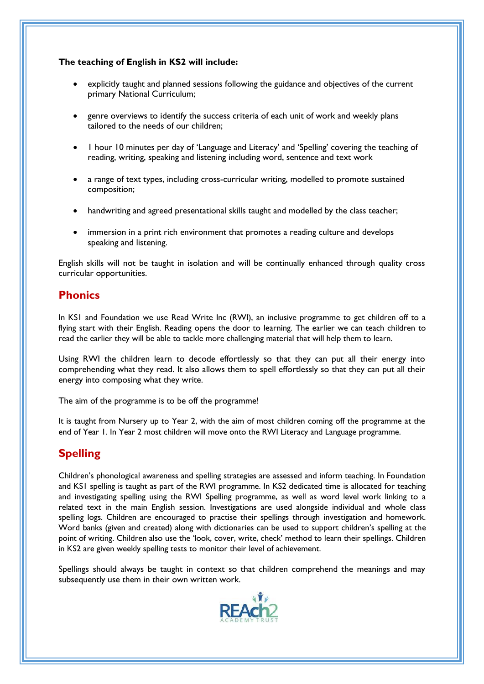#### **The teaching of English in KS2 will include:**

- explicitly taught and planned sessions following the guidance and objectives of the current primary National Curriculum;
- genre overviews to identify the success criteria of each unit of work and weekly plans tailored to the needs of our children;
- 1 hour 10 minutes per day of 'Language and Literacy' and 'Spelling' covering the teaching of reading, writing, speaking and listening including word, sentence and text work
- a range of text types, including cross-curricular writing, modelled to promote sustained composition;
- handwriting and agreed presentational skills taught and modelled by the class teacher;
- immersion in a print rich environment that promotes a reading culture and develops speaking and listening.

English skills will not be taught in isolation and will be continually enhanced through quality cross curricular opportunities.

## **Phonics**

In KS1 and Foundation we use Read Write Inc (RWI), an inclusive programme to get children off to a flying start with their English. Reading opens the door to learning. The earlier we can teach children to read the earlier they will be able to tackle more challenging material that will help them to learn.

Using RWI the children learn to decode effortlessly so that they can put all their energy into comprehending what they read. It also allows them to spell effortlessly so that they can put all their energy into composing what they write.

The aim of the programme is to be off the programme!

It is taught from Nursery up to Year 2, with the aim of most children coming off the programme at the end of Year 1. In Year 2 most children will move onto the RWI Literacy and Language programme.

# **Spelling**

Children's phonological awareness and spelling strategies are assessed and inform teaching. In Foundation and KS1 spelling is taught as part of the RWI programme. In KS2 dedicated time is allocated for teaching and investigating spelling using the RWI Spelling programme, as well as word level work linking to a related text in the main English session. Investigations are used alongside individual and whole class spelling logs. Children are encouraged to practise their spellings through investigation and homework. Word banks (given and created) along with dictionaries can be used to support children's spelling at the point of writing. Children also use the 'look, cover, write, check' method to learn their spellings. Children in KS2 are given weekly spelling tests to monitor their level of achievement.

Spellings should always be taught in context so that children comprehend the meanings and may subsequently use them in their own written work.

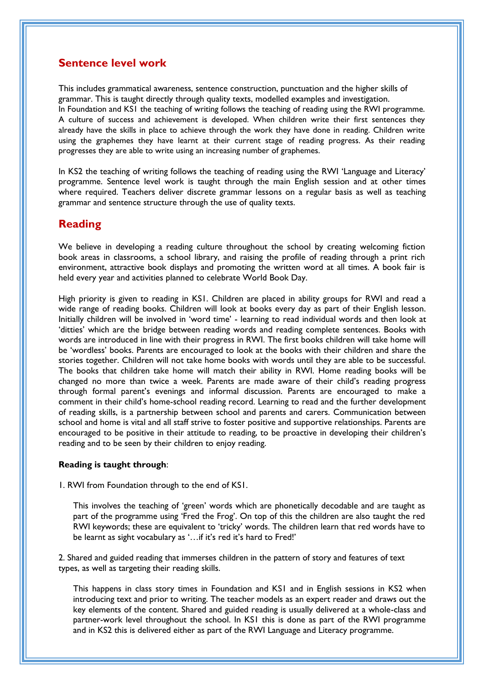### **Sentence level work**

This includes grammatical awareness, sentence construction, punctuation and the higher skills of grammar. This is taught directly through quality texts, modelled examples and investigation. In Foundation and KS1 the teaching of writing follows the teaching of reading using the RWI programme. A culture of success and achievement is developed. When children write their first sentences they already have the skills in place to achieve through the work they have done in reading. Children write using the graphemes they have learnt at their current stage of reading progress. As their reading progresses they are able to write using an increasing number of graphemes.

In KS2 the teaching of writing follows the teaching of reading using the RWI 'Language and Literacy' programme. Sentence level work is taught through the main English session and at other times where required. Teachers deliver discrete grammar lessons on a regular basis as well as teaching grammar and sentence structure through the use of quality texts.

### **Reading**

We believe in developing a reading culture throughout the school by creating welcoming fiction book areas in classrooms, a school library, and raising the profile of reading through a print rich environment, attractive book displays and promoting the written word at all times. A book fair is held every year and activities planned to celebrate World Book Day.

High priority is given to reading in KS1. Children are placed in ability groups for RWI and read a wide range of reading books. Children will look at books every day as part of their English lesson. Initially children will be involved in 'word time' - learning to read individual words and then look at 'ditties' which are the bridge between reading words and reading complete sentences. Books with words are introduced in line with their progress in RWI. The first books children will take home will be 'wordless' books. Parents are encouraged to look at the books with their children and share the stories together. Children will not take home books with words until they are able to be successful. The books that children take home will match their ability in RWI. Home reading books will be changed no more than twice a week. Parents are made aware of their child's reading progress through formal parent's evenings and informal discussion. Parents are encouraged to make a comment in their child's home-school reading record. Learning to read and the further development of reading skills, is a partnership between school and parents and carers. Communication between school and home is vital and all staff strive to foster positive and supportive relationships. Parents are encouraged to be positive in their attitude to reading, to be proactive in developing their children's reading and to be seen by their children to enjoy reading.

#### **Reading is taught through**:

1. RWI from Foundation through to the end of KS1.

This involves the teaching of 'green' words which are phonetically decodable and are taught as part of the programme using 'Fred the Frog'. On top of this the children are also taught the red RWI keywords; these are equivalent to 'tricky' words. The children learn that red words have to be learnt as sight vocabulary as '…if it's red it's hard to Fred!'

2. Shared and guided reading that immerses children in the pattern of story and features of text types, as well as targeting their reading skills.

This happens in class story times in Foundation and KS1 and in English sessions in KS2 when introducing text and prior to writing. The teacher models as an expert reader and draws out the key elements of the content. Shared and guided reading is usually delivered at a whole-class and partner-work level throughout the school. In KS1 this is done as part of the RWI programme and in KS2 this is delivered either as part of the RWI Language and Literacy programme.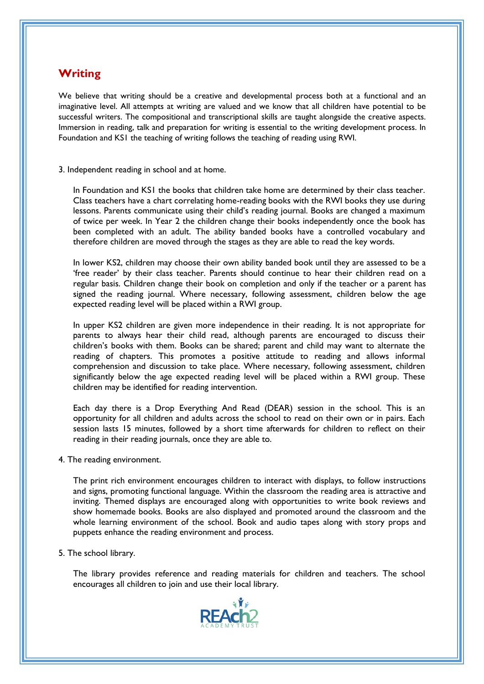### **Writing**

We believe that writing should be a creative and developmental process both at a functional and an imaginative level. All attempts at writing are valued and we know that all children have potential to be successful writers. The compositional and transcriptional skills are taught alongside the creative aspects. Immersion in reading, talk and preparation for writing is essential to the writing development process. In Foundation and KS1 the teaching of writing follows the teaching of reading using RWI.

#### 3. Independent reading in school and at home.

In Foundation and KS1 the books that children take home are determined by their class teacher. Class teachers have a chart correlating home-reading books with the RWI books they use during lessons. Parents communicate using their child's reading journal. Books are changed a maximum of twice per week. In Year 2 the children change their books independently once the book has been completed with an adult. The ability banded books have a controlled vocabulary and therefore children are moved through the stages as they are able to read the key words.

In lower KS2, children may choose their own ability banded book until they are assessed to be a 'free reader' by their class teacher. Parents should continue to hear their children read on a regular basis. Children change their book on completion and only if the teacher or a parent has signed the reading journal. Where necessary, following assessment, children below the age expected reading level will be placed within a RWI group.

In upper KS2 children are given more independence in their reading. It is not appropriate for parents to always hear their child read, although parents are encouraged to discuss their children's books with them. Books can be shared; parent and child may want to alternate the reading of chapters. This promotes a positive attitude to reading and allows informal comprehension and discussion to take place. Where necessary, following assessment, children significantly below the age expected reading level will be placed within a RWI group. These children may be identified for reading intervention.

Each day there is a Drop Everything And Read (DEAR) session in the school. This is an opportunity for all children and adults across the school to read on their own or in pairs. Each session lasts 15 minutes, followed by a short time afterwards for children to reflect on their reading in their reading journals, once they are able to.

4. The reading environment.

The print rich environment encourages children to interact with displays, to follow instructions and signs, promoting functional language. Within the classroom the reading area is attractive and inviting. Themed displays are encouraged along with opportunities to write book reviews and show homemade books. Books are also displayed and promoted around the classroom and the whole learning environment of the school. Book and audio tapes along with story props and puppets enhance the reading environment and process.

#### 5. The school library.

The library provides reference and reading materials for children and teachers. The school encourages all children to join and use their local library.

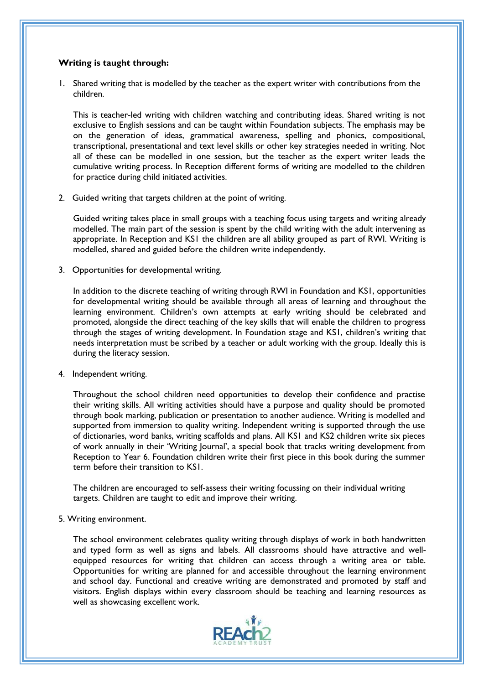#### **Writing is taught through:**

1. Shared writing that is modelled by the teacher as the expert writer with contributions from the children.

This is teacher-led writing with children watching and contributing ideas. Shared writing is not exclusive to English sessions and can be taught within Foundation subjects. The emphasis may be on the generation of ideas, grammatical awareness, spelling and phonics, compositional, transcriptional, presentational and text level skills or other key strategies needed in writing. Not all of these can be modelled in one session, but the teacher as the expert writer leads the cumulative writing process. In Reception different forms of writing are modelled to the children for practice during child initiated activities.

2. Guided writing that targets children at the point of writing.

Guided writing takes place in small groups with a teaching focus using targets and writing already modelled. The main part of the session is spent by the child writing with the adult intervening as appropriate. In Reception and KS1 the children are all ability grouped as part of RWI. Writing is modelled, shared and guided before the children write independently.

3. Opportunities for developmental writing.

In addition to the discrete teaching of writing through RWI in Foundation and KS1, opportunities for developmental writing should be available through all areas of learning and throughout the learning environment. Children's own attempts at early writing should be celebrated and promoted, alongside the direct teaching of the key skills that will enable the children to progress through the stages of writing development. In Foundation stage and KS1, children's writing that needs interpretation must be scribed by a teacher or adult working with the group. Ideally this is during the literacy session.

4. Independent writing.

Throughout the school children need opportunities to develop their confidence and practise their writing skills. All writing activities should have a purpose and quality should be promoted through book marking, publication or presentation to another audience. Writing is modelled and supported from immersion to quality writing. Independent writing is supported through the use of dictionaries, word banks, writing scaffolds and plans. All KS1 and KS2 children write six pieces of work annually in their 'Writing Journal', a special book that tracks writing development from Reception to Year 6. Foundation children write their first piece in this book during the summer term before their transition to KS1.

The children are encouraged to self-assess their writing focussing on their individual writing targets. Children are taught to edit and improve their writing.

#### 5. Writing environment.

The school environment celebrates quality writing through displays of work in both handwritten and typed form as well as signs and labels. All classrooms should have attractive and wellequipped resources for writing that children can access through a writing area or table. Opportunities for writing are planned for and accessible throughout the learning environment and school day. Functional and creative writing are demonstrated and promoted by staff and visitors. English displays within every classroom should be teaching and learning resources as well as showcasing excellent work.

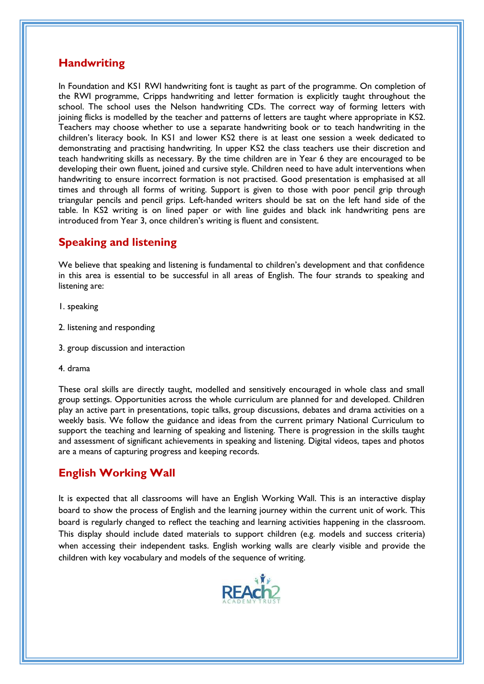### **Handwriting**

In Foundation and KS1 RWI handwriting font is taught as part of the programme. On completion of the RWI programme, Cripps handwriting and letter formation is explicitly taught throughout the school. The school uses the Nelson handwriting CDs. The correct way of forming letters with joining flicks is modelled by the teacher and patterns of letters are taught where appropriate in KS2. Teachers may choose whether to use a separate handwriting book or to teach handwriting in the children's literacy book. In KS1 and lower KS2 there is at least one session a week dedicated to demonstrating and practising handwriting. In upper KS2 the class teachers use their discretion and teach handwriting skills as necessary. By the time children are in Year 6 they are encouraged to be developing their own fluent, joined and cursive style. Children need to have adult interventions when handwriting to ensure incorrect formation is not practised. Good presentation is emphasised at all times and through all forms of writing. Support is given to those with poor pencil grip through triangular pencils and pencil grips. Left-handed writers should be sat on the left hand side of the table. In KS2 writing is on lined paper or with line guides and black ink handwriting pens are introduced from Year 3, once children's writing is fluent and consistent.

# **Speaking and listening**

We believe that speaking and listening is fundamental to children's development and that confidence in this area is essential to be successful in all areas of English. The four strands to speaking and listening are:

- 1. speaking
- 2. listening and responding
- 3. group discussion and interaction
- 4. drama

These oral skills are directly taught, modelled and sensitively encouraged in whole class and small group settings. Opportunities across the whole curriculum are planned for and developed. Children play an active part in presentations, topic talks, group discussions, debates and drama activities on a weekly basis. We follow the guidance and ideas from the current primary National Curriculum to support the teaching and learning of speaking and listening. There is progression in the skills taught and assessment of significant achievements in speaking and listening. Digital videos, tapes and photos are a means of capturing progress and keeping records.

# **English Working Wall**

It is expected that all classrooms will have an English Working Wall. This is an interactive display board to show the process of English and the learning journey within the current unit of work. This board is regularly changed to reflect the teaching and learning activities happening in the classroom. This display should include dated materials to support children (e.g. models and success criteria) when accessing their independent tasks. English working walls are clearly visible and provide the children with key vocabulary and models of the sequence of writing.

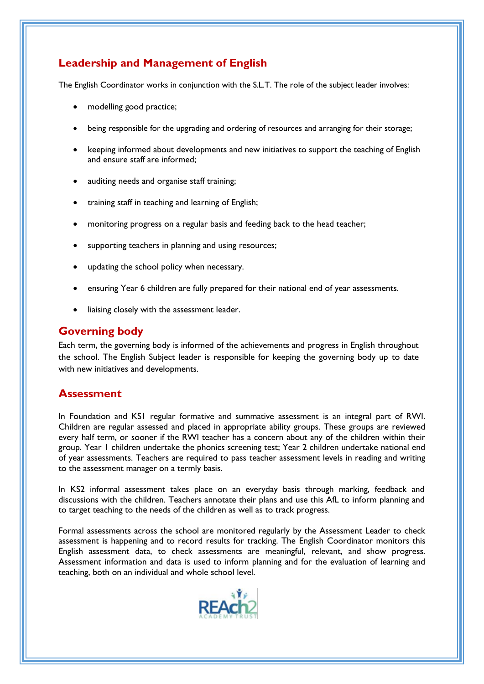# **Leadership and Management of English**

The English Coordinator works in conjunction with the S.L.T. The role of the subject leader involves:

- modelling good practice;
- being responsible for the upgrading and ordering of resources and arranging for their storage;
- keeping informed about developments and new initiatives to support the teaching of English and ensure staff are informed;
- auditing needs and organise staff training;
- training staff in teaching and learning of English;
- monitoring progress on a regular basis and feeding back to the head teacher;
- supporting teachers in planning and using resources;
- updating the school policy when necessary.
- ensuring Year 6 children are fully prepared for their national end of year assessments.
- liaising closely with the assessment leader.

### **Governing body**

Each term, the governing body is informed of the achievements and progress in English throughout the school. The English Subject leader is responsible for keeping the governing body up to date with new initiatives and developments.

### **Assessment**

In Foundation and KS1 regular formative and summative assessment is an integral part of RWI. Children are regular assessed and placed in appropriate ability groups. These groups are reviewed every half term, or sooner if the RWI teacher has a concern about any of the children within their group. Year 1 children undertake the phonics screening test; Year 2 children undertake national end of year assessments. Teachers are required to pass teacher assessment levels in reading and writing to the assessment manager on a termly basis.

In KS2 informal assessment takes place on an everyday basis through marking, feedback and discussions with the children. Teachers annotate their plans and use this AfL to inform planning and to target teaching to the needs of the children as well as to track progress.

Formal assessments across the school are monitored regularly by the Assessment Leader to check assessment is happening and to record results for tracking. The English Coordinator monitors this English assessment data, to check assessments are meaningful, relevant, and show progress. Assessment information and data is used to inform planning and for the evaluation of learning and teaching, both on an individual and whole school level.

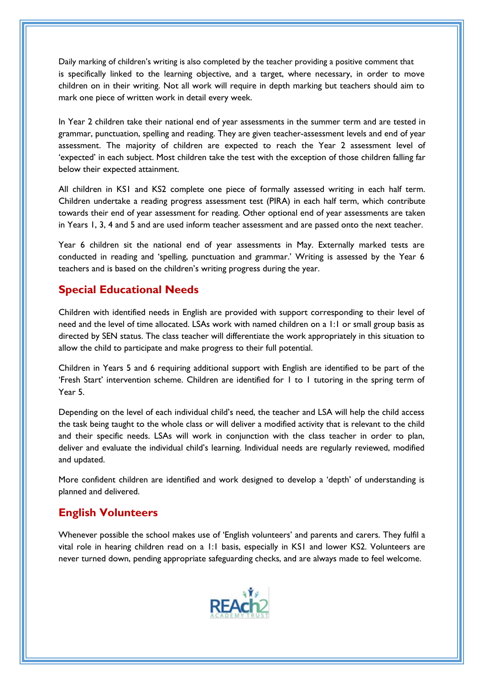Daily marking of children's writing is also completed by the teacher providing a positive comment that is specifically linked to the learning objective, and a target, where necessary, in order to move children on in their writing. Not all work will require in depth marking but teachers should aim to mark one piece of written work in detail every week.

In Year 2 children take their national end of year assessments in the summer term and are tested in grammar, punctuation, spelling and reading. They are given teacher-assessment levels and end of year assessment. The majority of children are expected to reach the Year 2 assessment level of 'expected' in each subject. Most children take the test with the exception of those children falling far below their expected attainment.

All children in KS1 and KS2 complete one piece of formally assessed writing in each half term. Children undertake a reading progress assessment test (PIRA) in each half term, which contribute towards their end of year assessment for reading. Other optional end of year assessments are taken in Years 1, 3, 4 and 5 and are used inform teacher assessment and are passed onto the next teacher.

Year 6 children sit the national end of year assessments in May. Externally marked tests are conducted in reading and 'spelling, punctuation and grammar.' Writing is assessed by the Year 6 teachers and is based on the children's writing progress during the year.

## **Special Educational Needs**

Children with identified needs in English are provided with support corresponding to their level of need and the level of time allocated. LSAs work with named children on a 1:1 or small group basis as directed by SEN status. The class teacher will differentiate the work appropriately in this situation to allow the child to participate and make progress to their full potential.

Children in Years 5 and 6 requiring additional support with English are identified to be part of the 'Fresh Start' intervention scheme. Children are identified for 1 to 1 tutoring in the spring term of Year 5.

Depending on the level of each individual child's need, the teacher and LSA will help the child access the task being taught to the whole class or will deliver a modified activity that is relevant to the child and their specific needs. LSAs will work in conjunction with the class teacher in order to plan, deliver and evaluate the individual child's learning. Individual needs are regularly reviewed, modified and updated.

More confident children are identified and work designed to develop a 'depth' of understanding is planned and delivered.

# **English Volunteers**

Whenever possible the school makes use of 'English volunteers' and parents and carers. They fulfil a vital role in hearing children read on a 1:1 basis, especially in KS1 and lower KS2. Volunteers are never turned down, pending appropriate safeguarding checks, and are always made to feel welcome.